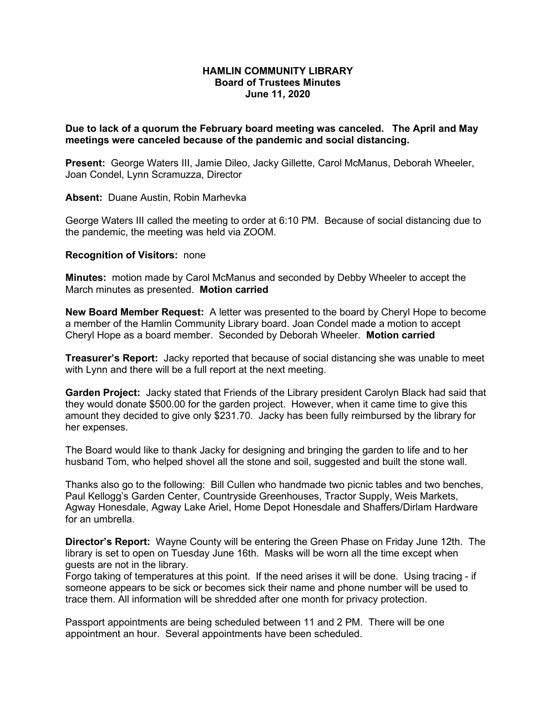## **HAMLIN COMMUNITY LIBRARY Board of Trustees Minutes June 11, 2020**

**Due to lack of a quorum the February board meeting was canceled. The April and May meetings were canceled because of the pandemic and social distancing.** 

**Present:** George Waters III, Jamie Dileo, Jacky Gillette, Carol McManus, Deborah Wheeler, Joan Condel, Lynn Scramuzza, Director

**Absent:** Duane Austin, Robin Marhevka

George Waters III called the meeting to order at 6:10 PM. Because of social distancing due to the pandemic, the meeting was held via ZOOM.

## **Recognition of Visitors:** none

**Minutes:** motion made by Carol McManus and seconded by Debby Wheeler to accept the March minutes as presented. **Motion carried**

**New Board Member Request:** A letter was presented to the board by Cheryl Hope to become a member of the Hamlin Community Library board. Joan Condel made a motion to accept Cheryl Hope as a board member. Seconded by Deborah Wheeler. **Motion carried**

**Treasurer's Report:** Jacky reported that because of social distancing she was unable to meet with Lynn and there will be a full report at the next meeting.

**Garden Project:** Jacky stated that Friends of the Library president Carolyn Black had said that they would donate \$500.00 for the garden project. However, when it came time to give this amount they decided to give only \$231.70. Jacky has been fully reimbursed by the library for her expenses.

The Board would like to thank Jacky for designing and bringing the garden to life and to her husband Tom, who helped shovel all the stone and soil, suggested and built the stone wall.

Thanks also go to the following: Bill Cullen who handmade two picnic tables and two benches, Paul Kellogg's Garden Center, Countryside Greenhouses, Tractor Supply, Weis Markets, Agway Honesdale, Agway Lake Ariel, Home Depot Honesdale and Shaffers/Dirlam Hardware for an umbrella.

**Director's Report:** Wayne County will be entering the Green Phase on Friday June 12th. The library is set to open on Tuesday June 16th. Masks will be worn all the time except when guests are not in the library.

Forgo taking of temperatures at this point. If the need arises it will be done. Using tracing - if someone appears to be sick or becomes sick their name and phone number will be used to trace them. All information will be shredded after one month for privacy protection.

Passport appointments are being scheduled between 11 and 2 PM. There will be one appointment an hour. Several appointments have been scheduled.